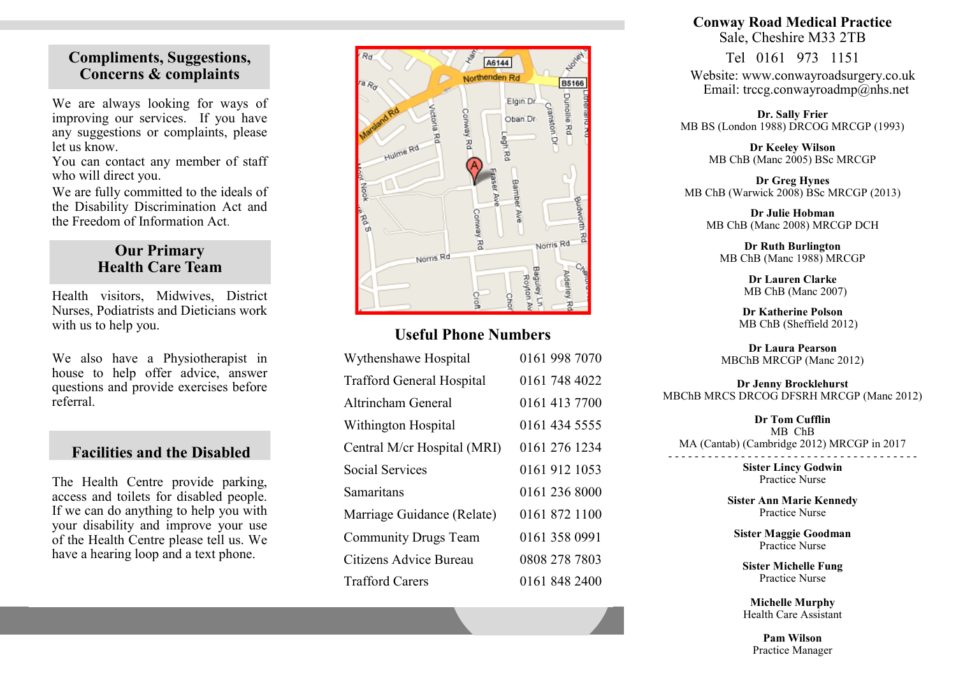#### **Compliments, Suggestions, Concerns & complaints**

We are always looking for ways of improving our services. If you have any suggestions or complaints, please let us know.

You can contact any member of staff who will direct you.

We are fully committed to the ideals of the Disability Discrimination Act and the Freedom of Information Act.

#### **Our Primary Health Care Team**

Health visitors, Midwives, District Nurses, Podiatrists and Dieticians work with us to help you.

We also have a Physiotherapist in house to help offer advice, answer questions and provide exercises before referral.

#### **Facilities and the Disabled**

The Health Centre provide parking, access and toilets for disabled people. If we can do anything to help you with your disability and improve your use of the Health Centre please tell us. We have a hearing loop and a text phone.



#### **Useful Phone Numbers**

| Wythenshawe Hospital             | 0161 998 7070 |
|----------------------------------|---------------|
| <b>Trafford General Hospital</b> | 0161 748 4022 |
| Altrincham General               | 0161 413 7700 |
| Withington Hospital              | 0161 434 5555 |
| Central M/cr Hospital (MRI)      | 0161 276 1234 |
| <b>Social Services</b>           | 0161 912 1053 |
| Samaritans                       | 0161 236 8000 |
| Marriage Guidance (Relate)       | 0161 872 1100 |
| <b>Community Drugs Team</b>      | 0161 358 0991 |
| Citizens Advice Bureau           | 0808 278 7803 |
| <b>Trafford Carers</b>           | 0161 848 2400 |

#### **Conway Road Medical Practice** Sale, Cheshire M33 2TB

Tel 0161 973 1151 Website: www.conwayroadsurgery.co.uk Email: trccg.conwayroadmp@nhs.net

**Dr. Sally Frier** MB BS (London 1988) DRCOG MRCGP (1993)

> **Dr Keeley Wilson** MB ChB (Manc 2005) BSc MRCGP

**Dr Greg Hynes** MB ChB (Warwick 2008) BSc MRCGP (2013)

**Dr Julie Hobman** MB ChB (Manc 2008) MRCGP DCH

**Dr Ruth Burlington** MB ChB (Manc 1988) MRCGP

> **Dr Lauren Clarke** MB ChB (Manc 2007)

**Dr Katherine Polson** MB ChB (Sheffield 2012)

**Dr Laura Pearson** MBChB MRCGP (Manc 2012)

**Dr Jenny Brocklehurst** MBChB MRCS DRCOG DFSRH MRCGP (Manc 2012)

**Dr Tom Cufflin** MB ChB MA (Cantab) (Cambridge 2012) MRCGP in 2017

- - - - - - - - - - - - - - - - - - - - - - - - - - - - - - - - - - - - - - **Sister Lincy Godwin** Practice Nurse

**Sister Ann Marie Kennedy**

Practice Nurse

**Sister Maggie Goodman** Practice Nurse

**Sister Michelle Fung** Practice Nurse

**Michelle Murphy** Health Care Assistant

**Pam Wilson** Practice Manager